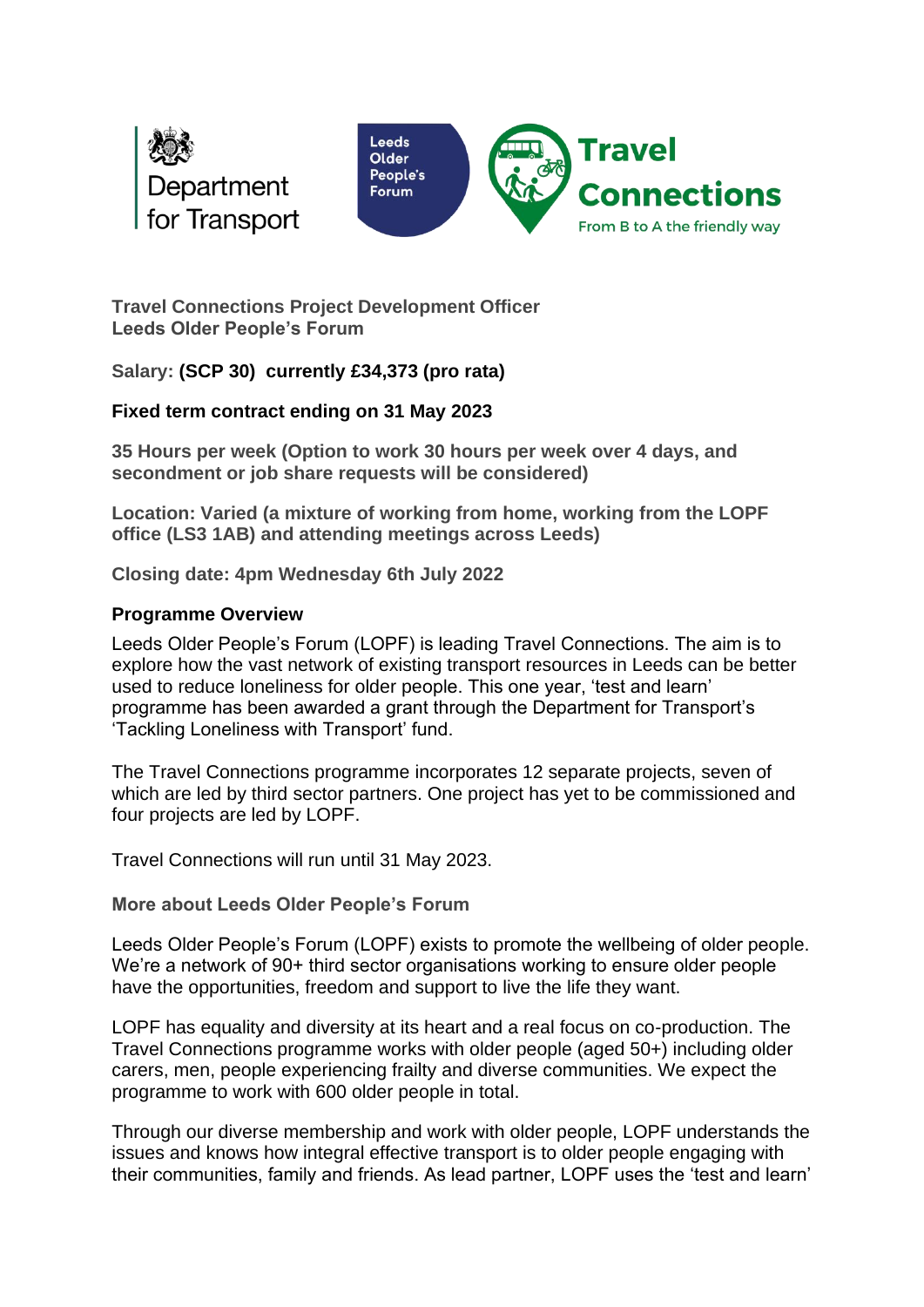



**Travel Connections Project Development Officer Leeds Older People's Forum**

**Salary: (SCP 30) currently £34,373 (pro rata)** 

## **Fixed term contract ending on 31 May 2023**

**35 Hours per week (Option to work 30 hours per week over 4 days, and secondment or job share requests will be considered)**

**Location: Varied (a mixture of working from home, working from the LOPF office (LS3 1AB) and attending meetings across Leeds)** 

**Closing date: 4pm Wednesday 6th July 2022**

## **Programme Overview**

Leeds Older People's Forum (LOPF) is leading Travel Connections. The aim is to explore how the vast network of existing transport resources in Leeds can be better used to reduce loneliness for older people. This one year, 'test and learn' programme has been awarded a grant through the Department for Transport's 'Tackling Loneliness with Transport' fund.

The Travel Connections programme incorporates 12 separate projects, seven of which are led by third sector partners. One project has yet to be commissioned and four projects are led by LOPF.

Travel Connections will run until 31 May 2023.

**More about Leeds Older People's Forum**

Leeds Older People's Forum (LOPF) exists to promote the wellbeing of older people. We're a network of 90+ third sector organisations working to ensure older people have the opportunities, freedom and support to live the life they want.

LOPF has equality and diversity at its heart and a real focus on co-production. The Travel Connections programme works with older people (aged 50+) including older carers, men, people experiencing frailty and diverse communities. We expect the programme to work with 600 older people in total.

Through our diverse membership and work with older people, LOPF understands the issues and knows how integral effective transport is to older people engaging with their communities, family and friends. As lead partner, LOPF uses the 'test and learn'